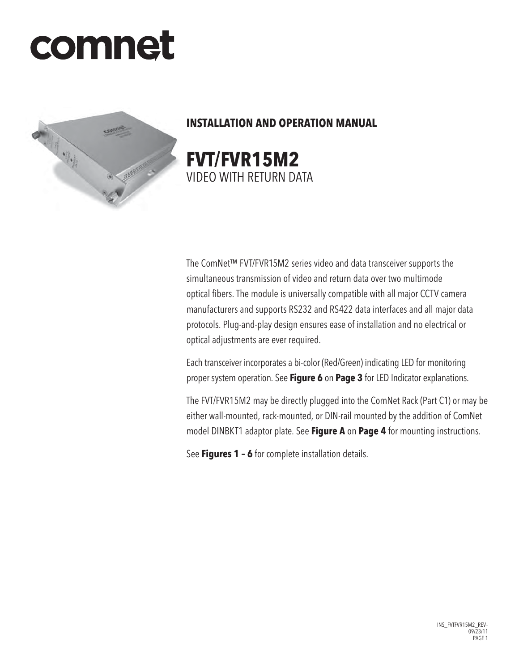# comnet



# **INSTALLATION AND OPERATION MANUAL**

**FVT/FVR15M2** VIDEO WITH RETURN DATA

The ComNet™ FVT/FVR15M2 series video and data transceiver supports the simultaneous transmission of video and return data over two multimode optical fibers. The module is universally compatible with all major CCTV camera manufacturers and supports RS232 and RS422 data interfaces and all major data protocols. Plug-and-play design ensures ease of installation and no electrical or optical adjustments are ever required.

Each transceiver incorporates a bi-color (Red/Green) indicating LED for monitoring proper system operation. See **Figure 6** on **Page 3** for LED Indicator explanations.

The FVT/FVR15M2 may be directly plugged into the ComNet Rack (Part C1) or may be either wall-mounted, rack-mounted, or DIN-rail mounted by the addition of ComNet model DINBKT1 adaptor plate. See **Figure A** on **Page 4** for mounting instructions.

See **Figures 1 – 6** for complete installation details.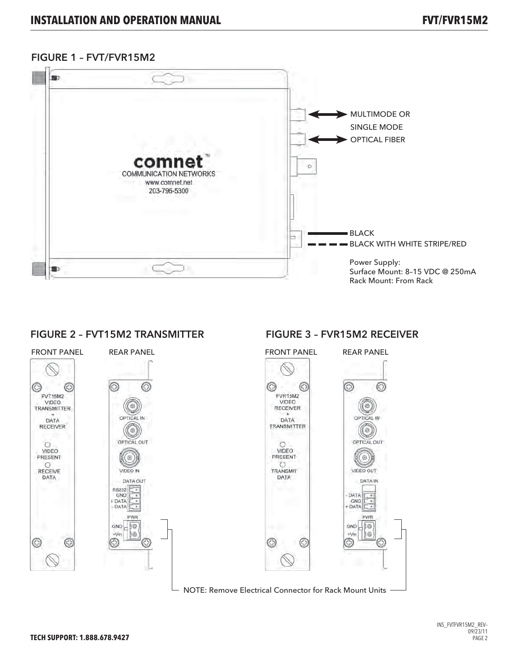### FIGURE 1 – FVT/FVR15M2



#### FIGURE 2 - FVT15M2 TRANSMITTER FIGURE 3 - FVR15M2 RECEIVER



INS\_FVTFVR15M2\_REV–  $09/23/11$ PAGE 2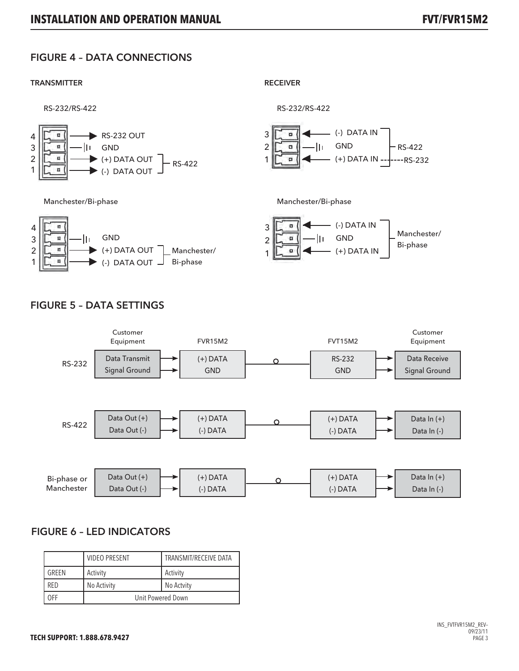# FIGURE 4 – DATA CONNECTIONS

#### TRANSMITTER RECEIVER







# FIGURE 5 – DATA SETTINGS



## FIGURE 6 – LED INDICATORS

|            | <b>VIDEO PRESENT</b> | TRANSMIT/RECEIVE DATA |
|------------|----------------------|-----------------------|
| GRFFN      | Activity             | Activity              |
| <b>RFD</b> | No Activity          | No Actvity            |
| )FF        | Unit Powered Down    |                       |